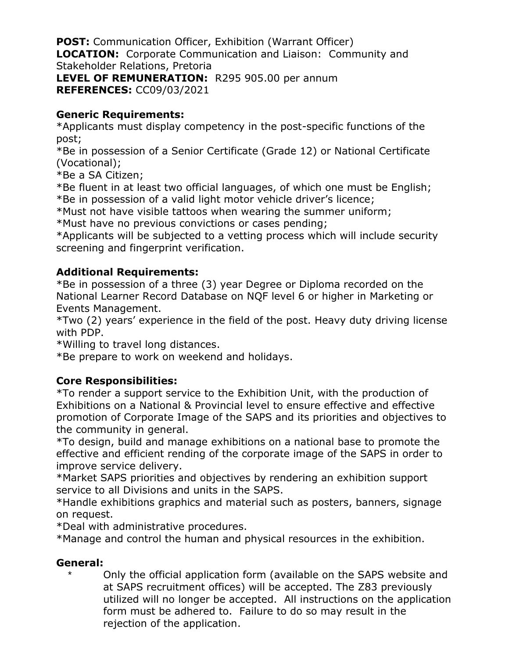**POST:** Communication Officer, Exhibition (Warrant Officer) **LOCATION:** Corporate Communication and Liaison: Community and Stakeholder Relations, Pretoria **LEVEL OF REMUNERATION:** R295 905.00 per annum

**REFERENCES:** CC09/03/2021

## **Generic Requirements:**

\*Applicants must display competency in the post-specific functions of the post;

\*Be in possession of a Senior Certificate (Grade 12) or National Certificate (Vocational);

\*Be a SA Citizen;

\*Be fluent in at least two official languages, of which one must be English; \*Be in possession of a valid light motor vehicle driver's licence;

\*Must not have visible tattoos when wearing the summer uniform;

\*Must have no previous convictions or cases pending;

\*Applicants will be subjected to a vetting process which will include security screening and fingerprint verification.

## **Additional Requirements:**

\*Be in possession of a three (3) year Degree or Diploma recorded on the National Learner Record Database on NQF level 6 or higher in Marketing or Events Management.

\*Two (2) years' experience in the field of the post. Heavy duty driving license with PDP.

\*Willing to travel long distances.

\*Be prepare to work on weekend and holidays.

## **Core Responsibilities:**

\*To render a support service to the Exhibition Unit, with the production of Exhibitions on a National & Provincial level to ensure effective and effective promotion of Corporate Image of the SAPS and its priorities and objectives to the community in general.

\*To design, build and manage exhibitions on a national base to promote the effective and efficient rending of the corporate image of the SAPS in order to improve service delivery.

\*Market SAPS priorities and objectives by rendering an exhibition support service to all Divisions and units in the SAPS.

\*Handle exhibitions graphics and material such as posters, banners, signage on request.

\*Deal with administrative procedures.

\*Manage and control the human and physical resources in the exhibition.

## **General:**

Only the official application form (available on the SAPS website and at SAPS recruitment offices) will be accepted. The Z83 previously utilized will no longer be accepted. All instructions on the application form must be adhered to. Failure to do so may result in the rejection of the application.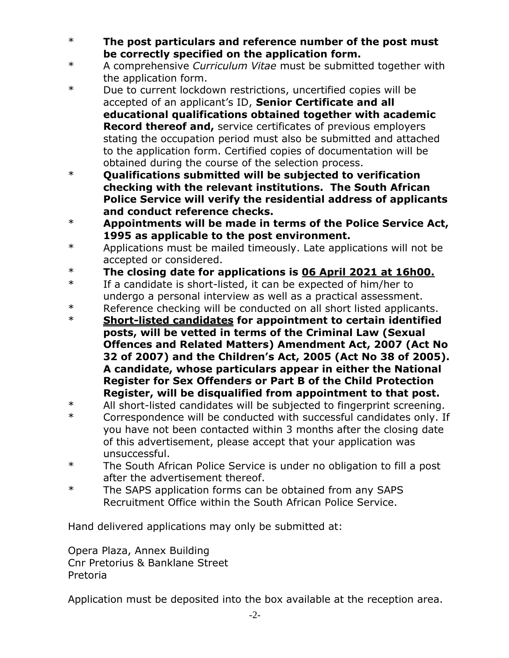- \* **The post particulars and reference number of the post must be correctly specified on the application form.**
- \* A comprehensive *Curriculum Vitae* must be submitted together with the application form.
- \* Due to current lockdown restrictions, uncertified copies will be accepted of an applicant's ID, **Senior Certificate and all educational qualifications obtained together with academic Record thereof and,** service certificates of previous employers stating the occupation period must also be submitted and attached to the application form. Certified copies of documentation will be obtained during the course of the selection process.
- \* **Qualifications submitted will be subjected to verification checking with the relevant institutions. The South African Police Service will verify the residential address of applicants and conduct reference checks.**
- \* **Appointments will be made in terms of the Police Service Act, 1995 as applicable to the post environment.**
- \* Applications must be mailed timeously. Late applications will not be accepted or considered.
- \* **The closing date for applications is 06 April 2021 at 16h00.**
- \* If a candidate is short-listed, it can be expected of him/her to undergo a personal interview as well as a practical assessment.
- \* Reference checking will be conducted on all short listed applicants.
- \* **Short-listed candidates for appointment to certain identified posts, will be vetted in terms of the Criminal Law (Sexual Offences and Related Matters) Amendment Act, 2007 (Act No 32 of 2007) and the Children's Act, 2005 (Act No 38 of 2005). A candidate, whose particulars appear in either the National Register for Sex Offenders or Part B of the Child Protection Register, will be disqualified from appointment to that post.**
- \* All short-listed candidates will be subjected to fingerprint screening.
- \* Correspondence will be conducted with successful candidates only. If you have not been contacted within 3 months after the closing date of this advertisement, please accept that your application was unsuccessful.
- \* The South African Police Service is under no obligation to fill a post after the advertisement thereof.
- \* The SAPS application forms can be obtained from any SAPS Recruitment Office within the South African Police Service.

Hand delivered applications may only be submitted at:

Opera Plaza, Annex Building Cnr Pretorius & Banklane Street Pretoria

Application must be deposited into the box available at the reception area.